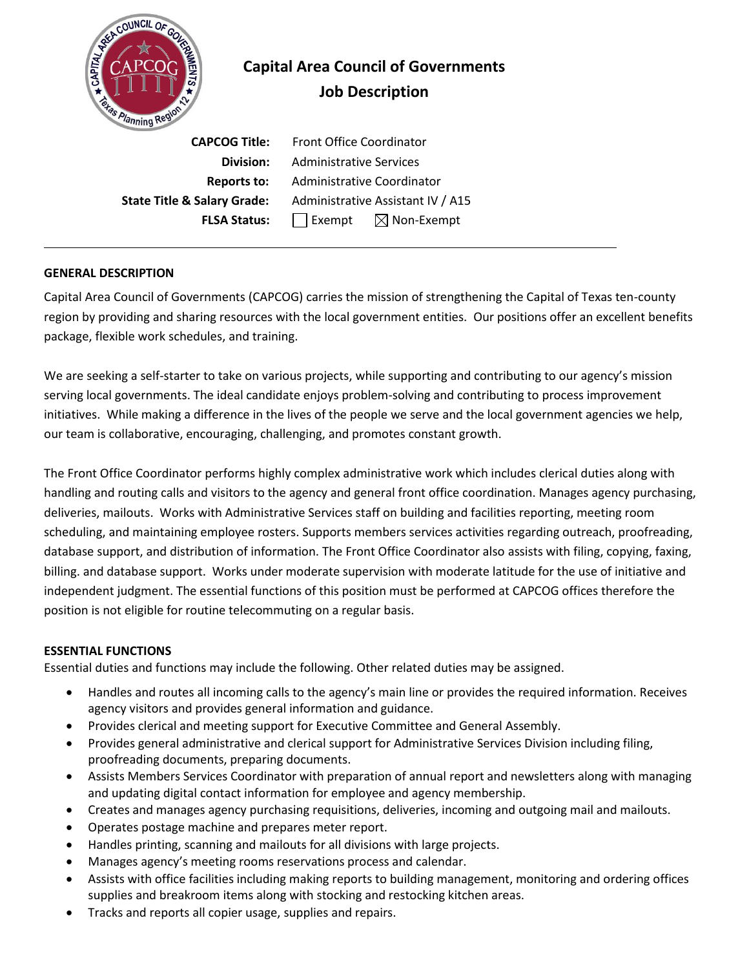

# **Capital Area Council of Governments Job Description**

 **CAPCOG Title:** Front Office Coordinator **Division:** Administrative Services **Reports to:** Administrative Coordinator **State Title & Salary Grade:** Administrative Assistant IV / A15 **FLSA Status:** | Exempt  $\boxtimes$  Non-Exempt

# **GENERAL DESCRIPTION**

Capital Area Council of Governments (CAPCOG) carries the mission of strengthening the Capital of Texas ten-county region by providing and sharing resources with the local government entities. Our positions offer an excellent benefits package, flexible work schedules, and training.

We are seeking a self-starter to take on various projects, while supporting and contributing to our agency's mission serving local governments. The ideal candidate enjoys problem-solving and contributing to process improvement initiatives. While making a difference in the lives of the people we serve and the local government agencies we help, our team is collaborative, encouraging, challenging, and promotes constant growth.

The Front Office Coordinator performs highly complex administrative work which includes clerical duties along with handling and routing calls and visitors to the agency and general front office coordination. Manages agency purchasing, deliveries, mailouts. Works with Administrative Services staff on building and facilities reporting, meeting room scheduling, and maintaining employee rosters. Supports members services activities regarding outreach, proofreading, database support, and distribution of information. The Front Office Coordinator also assists with filing, copying, faxing, billing. and database support. Works under moderate supervision with moderate latitude for the use of initiative and independent judgment. The essential functions of this position must be performed at CAPCOG offices therefore the position is not eligible for routine telecommuting on a regular basis.

# **ESSENTIAL FUNCTIONS**

Essential duties and functions may include the following. Other related duties may be assigned.

- Handles and routes all incoming calls to the agency's main line or provides the required information. Receives agency visitors and provides general information and guidance.
- Provides clerical and meeting support for Executive Committee and General Assembly.
- Provides general administrative and clerical support for Administrative Services Division including filing, proofreading documents, preparing documents.
- Assists Members Services Coordinator with preparation of annual report and newsletters along with managing and updating digital contact information for employee and agency membership.
- Creates and manages agency purchasing requisitions, deliveries, incoming and outgoing mail and mailouts.
- Operates postage machine and prepares meter report.
- Handles printing, scanning and mailouts for all divisions with large projects.
- Manages agency's meeting rooms reservations process and calendar.
- Assists with office facilities including making reports to building management, monitoring and ordering offices supplies and breakroom items along with stocking and restocking kitchen areas.
- Tracks and reports all copier usage, supplies and repairs.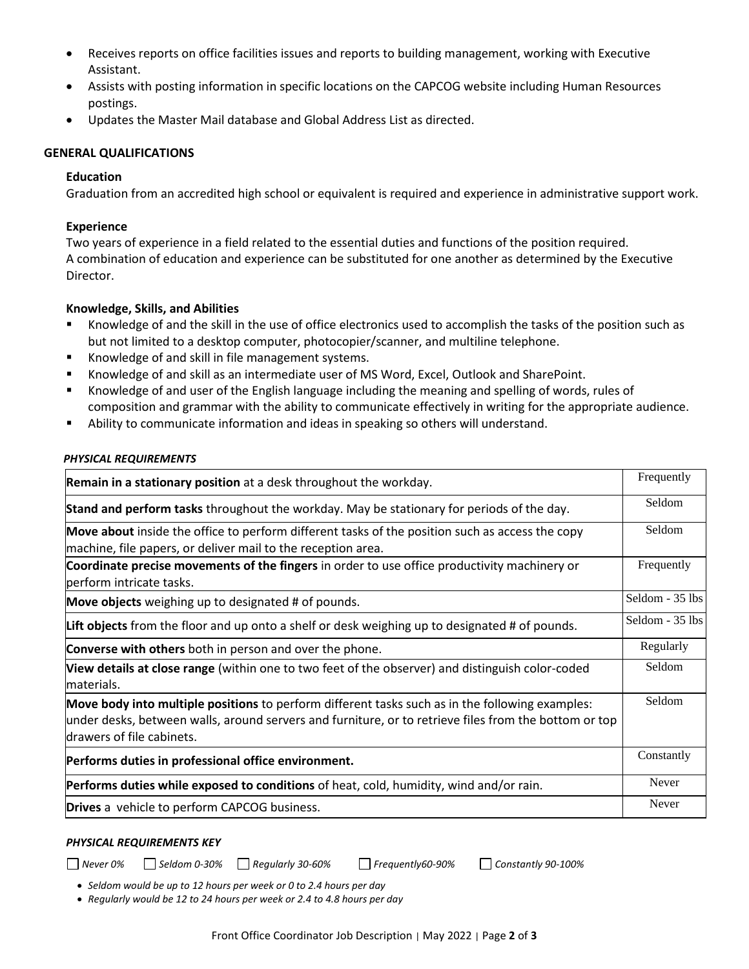- Receives reports on office facilities issues and reports to building management, working with Executive Assistant.
- Assists with posting information in specific locations on the CAPCOG website including Human Resources postings.
- Updates the Master Mail database and Global Address List as directed.

## **GENERAL QUALIFICATIONS**

#### **Education**

Graduation from an accredited high school or equivalent is required and experience in administrative support work.

#### **Experience**

Two years of experience in a field related to the essential duties and functions of the position required. A combination of education and experience can be substituted for one another as determined by the Executive Director.

## **Knowledge, Skills, and Abilities**

- Knowledge of and the skill in the use of office electronics used to accomplish the tasks of the position such as but not limited to a desktop computer, photocopier/scanner, and multiline telephone.
- Knowledge of and skill in file management systems.
- Knowledge of and skill as an intermediate user of MS Word, Excel, Outlook and SharePoint.
- Knowledge of and user of the English language including the meaning and spelling of words, rules of composition and grammar with the ability to communicate effectively in writing for the appropriate audience.
- Ability to communicate information and ideas in speaking so others will understand.

#### *PHYSICAL REQUIREMENTS*

| Remain in a stationary position at a desk throughout the workday.                                                                                                                                                                     | Frequently      |
|---------------------------------------------------------------------------------------------------------------------------------------------------------------------------------------------------------------------------------------|-----------------|
| Stand and perform tasks throughout the workday. May be stationary for periods of the day.                                                                                                                                             | Seldom          |
| <b>Move about</b> inside the office to perform different tasks of the position such as access the copy<br>machine, file papers, or deliver mail to the reception area.                                                                | Seldom          |
| Coordinate precise movements of the fingers in order to use office productivity machinery or<br>berform intricate tasks.                                                                                                              | Frequently      |
| Move objects weighing up to designated # of pounds.                                                                                                                                                                                   | Seldom - 35 lbs |
| Lift objects from the floor and up onto a shelf or desk weighing up to designated # of pounds.                                                                                                                                        | Seldom - 35 lbs |
| Converse with others both in person and over the phone.                                                                                                                                                                               | Regularly       |
| <b>View details at close range</b> (within one to two feet of the observer) and distinguish color-coded<br>materials.                                                                                                                 | Seldom          |
| Move body into multiple positions to perform different tasks such as in the following examples:<br>under desks, between walls, around servers and furniture, or to retrieve files from the bottom or top<br>drawers of file cabinets. | Seldom          |
| Performs duties in professional office environment.                                                                                                                                                                                   | Constantly      |
| Performs duties while exposed to conditions of heat, cold, humidity, wind and/or rain.                                                                                                                                                | Never           |
| Drives a vehicle to perform CAPCOG business.                                                                                                                                                                                          | Never           |

#### *PHYSICAL REQUIREMENTS KEY*

*Never 0% Seldom 0-30% Regularly 30-60% Frequently60-90% Constantly 90-100%*

• *Seldom would be up to 12 hours per week or 0 to 2.4 hours per day*

• *Regularly would be 12 to 24 hours per week or 2.4 to 4.8 hours per day*